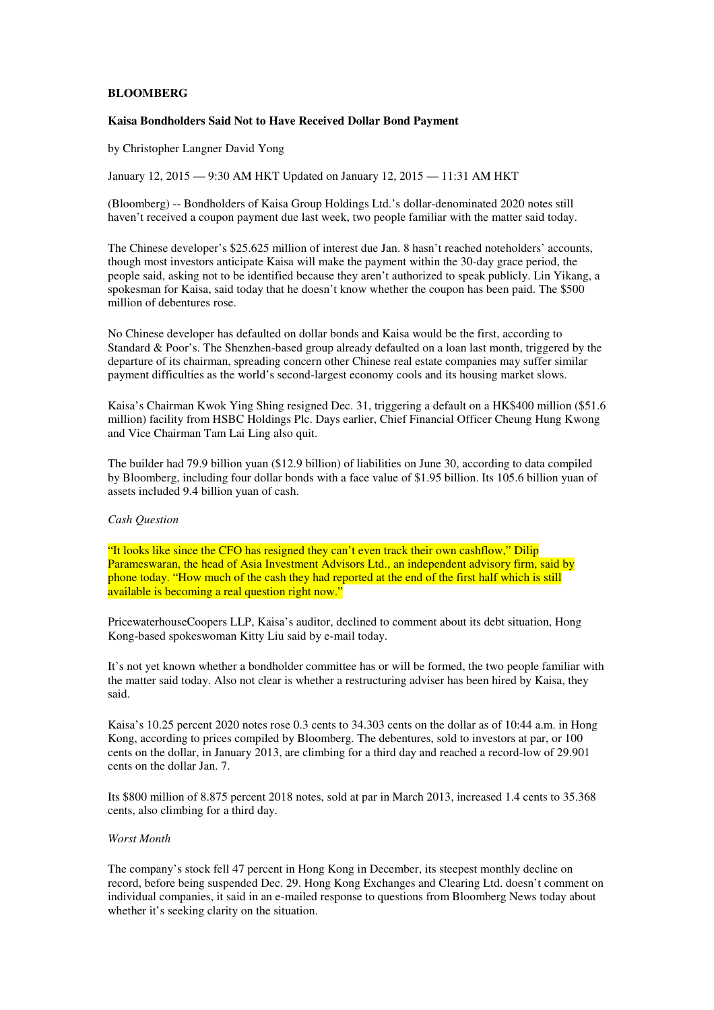## **BLOOMBERG**

## **Kaisa Bondholders Said Not to Have Received Dollar Bond Payment**

by Christopher Langner David Yong

January 12, 2015 — 9:30 AM HKT Updated on January 12, 2015 — 11:31 AM HKT

(Bloomberg) -- Bondholders of Kaisa Group Holdings Ltd.'s dollar-denominated 2020 notes still haven't received a coupon payment due last week, two people familiar with the matter said today.

The Chinese developer's \$25.625 million of interest due Jan. 8 hasn't reached noteholders' accounts, though most investors anticipate Kaisa will make the payment within the 30-day grace period, the people said, asking not to be identified because they aren't authorized to speak publicly. Lin Yikang, a spokesman for Kaisa, said today that he doesn't know whether the coupon has been paid. The \$500 million of debentures rose.

No Chinese developer has defaulted on dollar bonds and Kaisa would be the first, according to Standard & Poor's. The Shenzhen-based group already defaulted on a loan last month, triggered by the departure of its chairman, spreading concern other Chinese real estate companies may suffer similar payment difficulties as the world's second-largest economy cools and its housing market slows.

Kaisa's Chairman Kwok Ying Shing resigned Dec. 31, triggering a default on a HK\$400 million (\$51.6 million) facility from HSBC Holdings Plc. Days earlier, Chief Financial Officer Cheung Hung Kwong and Vice Chairman Tam Lai Ling also quit.

The builder had 79.9 billion yuan (\$12.9 billion) of liabilities on June 30, according to data compiled by Bloomberg, including four dollar bonds with a face value of \$1.95 billion. Its 105.6 billion yuan of assets included 9.4 billion yuan of cash.

## *Cash Question*

"It looks like since the CFO has resigned they can't even track their own cashflow," Dilip Parameswaran, the head of Asia Investment Advisors Ltd., an independent advisory firm, said by phone today. "How much of the cash they had reported at the end of the first half which is still available is becoming a real question right now."

PricewaterhouseCoopers LLP, Kaisa's auditor, declined to comment about its debt situation, Hong Kong-based spokeswoman Kitty Liu said by e-mail today.

It's not yet known whether a bondholder committee has or will be formed, the two people familiar with the matter said today. Also not clear is whether a restructuring adviser has been hired by Kaisa, they said.

Kaisa's 10.25 percent 2020 notes rose 0.3 cents to 34.303 cents on the dollar as of 10:44 a.m. in Hong Kong, according to prices compiled by Bloomberg. The debentures, sold to investors at par, or 100 cents on the dollar, in January 2013, are climbing for a third day and reached a record-low of 29.901 cents on the dollar Jan. 7.

Its \$800 million of 8.875 percent 2018 notes, sold at par in March 2013, increased 1.4 cents to 35.368 cents, also climbing for a third day.

## *Worst Month*

The company's stock fell 47 percent in Hong Kong in December, its steepest monthly decline on record, before being suspended Dec. 29. Hong Kong Exchanges and Clearing Ltd. doesn't comment on individual companies, it said in an e-mailed response to questions from Bloomberg News today about whether it's seeking clarity on the situation.